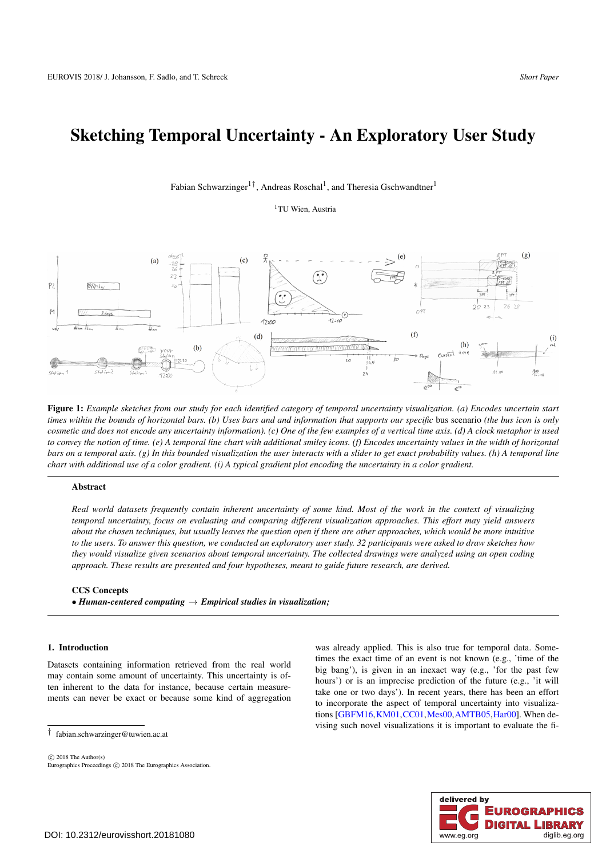# <span id="page-0-1"></span>Sketching Temporal Uncertainty - An Exploratory User Study

## Fabian Schwarzinger<sup>1†</sup>, Andreas Roschal<sup>1</sup>, and Theresia Gschwandtner<sup>1</sup>

<sup>1</sup>TU Wien, Austria



<span id="page-0-0"></span>Figure 1: *Example sketches from our study for each identified category of temporal uncertainty visualization. (a) Encodes uncertain start times within the bounds of horizontal bars. (b) Uses bars and and information that supports our specific* bus scenario *(the bus icon is only cosmetic and does not encode any uncertainty information). (c) One of the few examples of a vertical time axis. (d) A clock metaphor is used to convey the notion of time. (e) A temporal line chart with additional smiley icons. (f) Encodes uncertainty values in the width of horizontal bars on a temporal axis. (g) In this bounded visualization the user interacts with a slider to get exact probability values. (h) A temporal line chart with additional use of a color gradient. (i) A typical gradient plot encoding the uncertainty in a color gradient.*

## Abstract

*Real world datasets frequently contain inherent uncertainty of some kind. Most of the work in the context of visualizing temporal uncertainty, focus on evaluating and comparing different visualization approaches. This effort may yield answers about the chosen techniques, but usually leaves the question open if there are other approaches, which would be more intuitive to the users. To answer this question, we conducted an exploratory user study. 32 participants were asked to draw sketches how they would visualize given scenarios about temporal uncertainty. The collected drawings were analyzed using an open coding approach. These results are presented and four hypotheses, meant to guide future research, are derived.*

#### CCS Concepts

• *Human-centered computing* → *Empirical studies in visualization;*

## 1. Introduction

Datasets containing information retrieved from the real world may contain some amount of uncertainty. This uncertainty is often inherent to the data for instance, because certain measurements can never be exact or because some kind of aggregation

† fabian.schwarzinger@tuwien.ac.at

 $\odot$  2018 The Author(s) Eurographics Proceedings (C) 2018 The Eurographics Association. was already applied. This is also true for temporal data. Sometimes the exact time of an event is not known (e.g., 'time of the big bang'), is given in an inexact way (e.g., 'for the past few hours') or is an imprecise prediction of the future (e.g., 'it will take one or two days'). In recent years, there has been an effort to incorporate the aspect of temporal uncertainty into visualizations [\[GBFM16,](#page-4-0)[KM01,](#page-4-1)[CC01](#page-4-2)[,Mes00,](#page-4-3)[AMTB05,](#page-4-4)[Har00\]](#page-4-5). When devising such novel visualizations it is important to evaluate the fi-

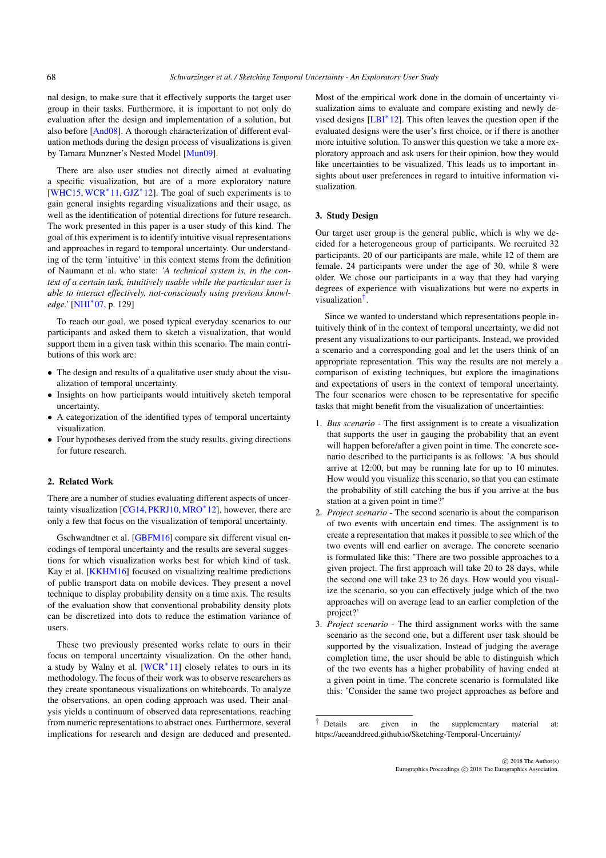<span id="page-1-1"></span>nal design, to make sure that it effectively supports the target user group in their tasks. Furthermore, it is important to not only do evaluation after the design and implementation of a solution, but also before [\[And08\]](#page-4-6). A thorough characterization of different evaluation methods during the design process of visualizations is given by Tamara Munzner's Nested Model [\[Mun09\]](#page-4-7).

There are also user studies not directly aimed at evaluating a specific visualization, but are of a more exploratory nature [\[WHC15,](#page-4-8) [WCR](#page-4-9)∗11, [GJZ](#page-4-10)∗12]. The goal of such experiments is to gain general insights regarding visualizations and their usage, as well as the identification of potential directions for future research. The work presented in this paper is a user study of this kind. The goal of this experiment is to identify intuitive visual representations and approaches in regard to temporal uncertainty. Our understanding of the term 'intuitive' in this context stems from the definition of Naumann et al. who state: *'A technical system is, in the context of a certain task, intuitively usable while the particular user is able to interact effectively, not-consciously using previous knowledge.'* [\[NHI](#page-4-11)∗07, p. 129]

To reach our goal, we posed typical everyday scenarios to our participants and asked them to sketch a visualization, that would support them in a given task within this scenario. The main contributions of this work are:

- The design and results of a qualitative user study about the visualization of temporal uncertainty.
- Insights on how participants would intuitively sketch temporal uncertainty.
- A categorization of the identified types of temporal uncertainty visualization.
- Four hypotheses derived from the study results, giving directions for future research.

## 2. Related Work

There are a number of studies evaluating different aspects of uncer-tainty visualization [\[CG14,](#page-4-12) [PKRJ10,](#page-4-13) [MRO](#page-4-14)<sup>∗</sup>12], however, there are only a few that focus on the visualization of temporal uncertainty.

Gschwandtner et al. [\[GBFM16\]](#page-4-0) compare six different visual encodings of temporal uncertainty and the results are several suggestions for which visualization works best for which kind of task. Kay et al. [\[KKHM16\]](#page-4-15) focused on visualizing realtime predictions of public transport data on mobile devices. They present a novel technique to display probability density on a time axis. The results of the evaluation show that conventional probability density plots can be discretized into dots to reduce the estimation variance of users.

These two previously presented works relate to ours in their focus on temporal uncertainty visualization. On the other hand, a study by Walny et al.  $[WCR^*11]$  $[WCR^*11]$  closely relates to ours in its methodology. The focus of their work was to observe researchers as they create spontaneous visualizations on whiteboards. To analyze the observations, an open coding approach was used. Their analysis yields a continuum of observed data representations, reaching from numeric representations to abstract ones. Furthermore, several implications for research and design are deduced and presented.

Most of the empirical work done in the domain of uncertainty visualization aims to evaluate and compare existing and newly devised designs [\[LBI](#page-4-16)∗12]. This often leaves the question open if the evaluated designs were the user's first choice, or if there is another more intuitive solution. To answer this question we take a more exploratory approach and ask users for their opinion, how they would like uncertainties to be visualized. This leads us to important insights about user preferences in regard to intuitive information visualization.

#### 3. Study Design

Our target user group is the general public, which is why we decided for a heterogeneous group of participants. We recruited 32 participants. 20 of our participants are male, while 12 of them are female. 24 participants were under the age of 30, while 8 were older. We chose our participants in a way that they had varying degrees of experience with visualizations but were no experts in visualization[†](#page-1-0).

Since we wanted to understand which representations people intuitively think of in the context of temporal uncertainty, we did not present any visualizations to our participants. Instead, we provided a scenario and a corresponding goal and let the users think of an appropriate representation. This way the results are not merely a comparison of existing techniques, but explore the imaginations and expectations of users in the context of temporal uncertainty. The four scenarios were chosen to be representative for specific tasks that might benefit from the visualization of uncertainties:

- 1. *Bus scenario* The first assignment is to create a visualization that supports the user in gauging the probability that an event will happen before/after a given point in time. The concrete scenario described to the participants is as follows: 'A bus should arrive at 12:00, but may be running late for up to 10 minutes. How would you visualize this scenario, so that you can estimate the probability of still catching the bus if you arrive at the bus station at a given point in time?'
- 2. *Project scenario* The second scenario is about the comparison of two events with uncertain end times. The assignment is to create a representation that makes it possible to see which of the two events will end earlier on average. The concrete scenario is formulated like this: 'There are two possible approaches to a given project. The first approach will take 20 to 28 days, while the second one will take 23 to 26 days. How would you visualize the scenario, so you can effectively judge which of the two approaches will on average lead to an earlier completion of the project?'
- 3. *Project scenario* The third assignment works with the same scenario as the second one, but a different user task should be supported by the visualization. Instead of judging the average completion time, the user should be able to distinguish which of the two events has a higher probability of having ended at a given point in time. The concrete scenario is formulated like this: 'Consider the same two project approaches as before and

<span id="page-1-0"></span><sup>†</sup> Details are given in the supplementary material at: https://aceanddreed.github.io/Sketching-Temporal-Uncertainty/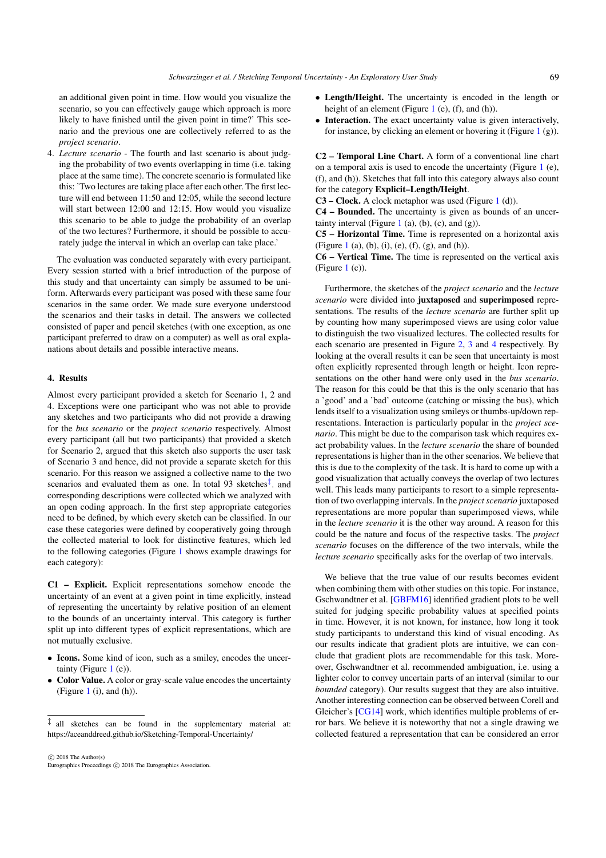<span id="page-2-1"></span>an additional given point in time. How would you visualize the scenario, so you can effectively gauge which approach is more likely to have finished until the given point in time?' This scenario and the previous one are collectively referred to as the *project scenario*.

4. *Lecture scenario* - The fourth and last scenario is about judging the probability of two events overlapping in time (i.e. taking place at the same time). The concrete scenario is formulated like this: 'Two lectures are taking place after each other. The first lecture will end between 11:50 and 12:05, while the second lecture will start between 12:00 and 12:15. How would you visualize this scenario to be able to judge the probability of an overlap of the two lectures? Furthermore, it should be possible to accurately judge the interval in which an overlap can take place.'

The evaluation was conducted separately with every participant. Every session started with a brief introduction of the purpose of this study and that uncertainty can simply be assumed to be uniform. Afterwards every participant was posed with these same four scenarios in the same order. We made sure everyone understood the scenarios and their tasks in detail. The answers we collected consisted of paper and pencil sketches (with one exception, as one participant preferred to draw on a computer) as well as oral explanations about details and possible interactive means.

## 4. Results

Almost every participant provided a sketch for Scenario 1, 2 and 4. Exceptions were one participant who was not able to provide any sketches and two participants who did not provide a drawing for the *bus scenario* or the *project scenario* respectively. Almost every participant (all but two participants) that provided a sketch for Scenario 2, argued that this sketch also supports the user task of Scenario 3 and hence, did not provide a separate sketch for this scenario. For this reason we assigned a collective name to the two scenarios and evaluated them as one. In total 93 sketches $\frac{1}{x}$  and corresponding descriptions were collected which we analyzed with an open coding approach. In the first step appropriate categories need to be defined, by which every sketch can be classified. In our case these categories were defined by cooperatively going through the collected material to look for distinctive features, which led to the following categories (Figure [1](#page-0-0) shows example drawings for each category):

C1 – Explicit. Explicit representations somehow encode the uncertainty of an event at a given point in time explicitly, instead of representing the uncertainty by relative position of an element to the bounds of an uncertainty interval. This category is further split up into different types of explicit representations, which are not mutually exclusive.

- Icons. Some kind of icon, such as a smiley, encodes the uncertainty (Figure  $1$  (e)).
- Color Value. A color or gray-scale value encodes the uncertainty (Figure [1](#page-0-0) (i), and (h)).
- Length/Height. The uncertainty is encoded in the length or height of an element (Figure [1](#page-0-0) (e),  $(f)$ , and  $(h)$ ).
- Interaction. The exact uncertainty value is given interactively, for instance, by clicking an element or hovering it (Figure  $1(g)$  $1(g)$ ).

C2 – Temporal Line Chart. A form of a conventional line chart on a temporal axis is used to encode the uncertainty (Figure [1](#page-0-0) (e), (f), and (h)). Sketches that fall into this category always also count for the category Explicit–Length/Height.

 $C3$  – Clock. A clock metaphor was used (Figure [1](#page-0-0) (d)).

C4 – Bounded. The uncertainty is given as bounds of an uncer-tainty interval (Figure [1](#page-0-0) (a), (b), (c), and (g)).

C5 – Horizontal Time. Time is represented on a horizontal axis (Figure [1](#page-0-0) (a), (b), (i), (e), (f), (g), and (h)).

C6 – Vertical Time. The time is represented on the vertical axis  $(Figure 1(c))$  $(Figure 1(c))$  $(Figure 1(c))$ .

Furthermore, the sketches of the *project scenario* and the *lecture scenario* were divided into juxtaposed and superimposed representations. The results of the *lecture scenario* are further split up by counting how many superimposed views are using color value to distinguish the two visualized lectures. The collected results for each scenario are presented in Figure [2,](#page-3-0) [3](#page-3-1) and [4](#page-3-2) respectively. By looking at the overall results it can be seen that uncertainty is most often explicitly represented through length or height. Icon representations on the other hand were only used in the *bus scenario*. The reason for this could be that this is the only scenario that has a 'good' and a 'bad' outcome (catching or missing the bus), which lends itself to a visualization using smileys or thumbs-up/down representations. Interaction is particularly popular in the *project scenario*. This might be due to the comparison task which requires exact probability values. In the *lecture scenario* the share of bounded representations is higher than in the other scenarios. We believe that this is due to the complexity of the task. It is hard to come up with a good visualization that actually conveys the overlap of two lectures well. This leads many participants to resort to a simple representation of two overlapping intervals. In the *project scenario* juxtaposed representations are more popular than superimposed views, while in the *lecture scenario* it is the other way around. A reason for this could be the nature and focus of the respective tasks. The *project scenario* focuses on the difference of the two intervals, while the *lecture scenario* specifically asks for the overlap of two intervals.

We believe that the true value of our results becomes evident when combining them with other studies on this topic. For instance, Gschwandtner et al. [\[GBFM16\]](#page-4-0) identified gradient plots to be well suited for judging specific probability values at specified points in time. However, it is not known, for instance, how long it took study participants to understand this kind of visual encoding. As our results indicate that gradient plots are intuitive, we can conclude that gradient plots are recommendable for this task. Moreover, Gschwandtner et al. recommended ambiguation, i.e. using a lighter color to convey uncertain parts of an interval (similar to our *bounded* category). Our results suggest that they are also intuitive. Another interesting connection can be observed between Corell and Gleicher's [\[CG14\]](#page-4-12) work, which identifies multiple problems of error bars. We believe it is noteworthy that not a single drawing we collected featured a representation that can be considered an error

<span id="page-2-0"></span><sup>‡</sup> all sketches can be found in the supplementary material at: https://aceanddreed.github.io/Sketching-Temporal-Uncertainty/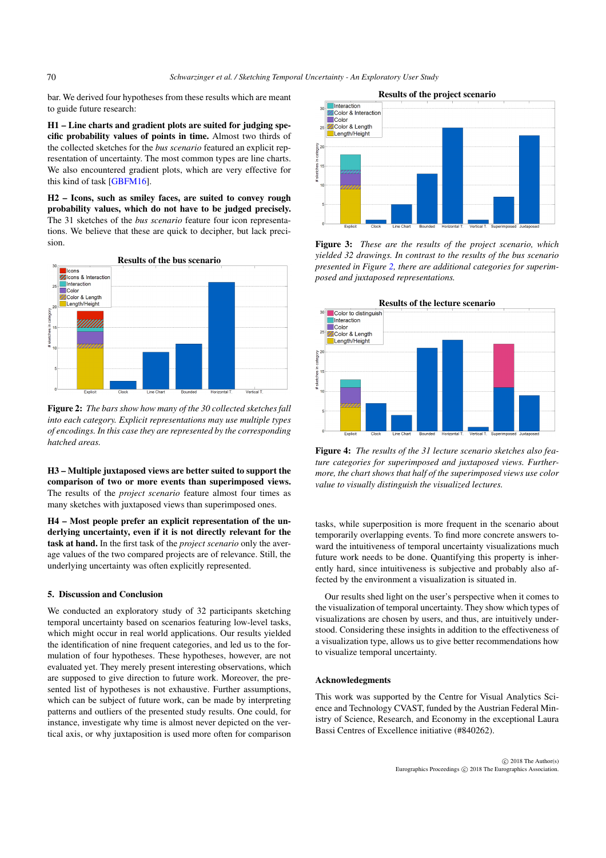bar. We derived four hypotheses from these results which are meant to guide future research:

H1 – Line charts and gradient plots are suited for judging specific probability values of points in time. Almost two thirds of the collected sketches for the *bus scenario* featured an explicit representation of uncertainty. The most common types are line charts. We also encountered gradient plots, which are very effective for this kind of task [\[GBFM16\]](#page-4-0).

H2 – Icons, such as smiley faces, are suited to convey rough probability values, which do not have to be judged precisely. The 31 sketches of the *bus scenario* feature four icon representations. We believe that these are quick to decipher, but lack precision.



<span id="page-3-0"></span>Figure 2: *The bars show how many of the 30 collected sketches fall into each category. Explicit representations may use multiple types of encodings. In this case they are represented by the corresponding hatched areas.*

H3 – Multiple juxtaposed views are better suited to support the comparison of two or more events than superimposed views. The results of the *project scenario* feature almost four times as many sketches with juxtaposed views than superimposed ones.

H4 – Most people prefer an explicit representation of the underlying uncertainty, even if it is not directly relevant for the task at hand. In the first task of the *project scenario* only the average values of the two compared projects are of relevance. Still, the underlying uncertainty was often explicitly represented.

## 5. Discussion and Conclusion

We conducted an exploratory study of 32 participants sketching temporal uncertainty based on scenarios featuring low-level tasks, which might occur in real world applications. Our results yielded the identification of nine frequent categories, and led us to the formulation of four hypotheses. These hypotheses, however, are not evaluated yet. They merely present interesting observations, which are supposed to give direction to future work. Moreover, the presented list of hypotheses is not exhaustive. Further assumptions, which can be subject of future work, can be made by interpreting patterns and outliers of the presented study results. One could, for instance, investigate why time is almost never depicted on the vertical axis, or why juxtaposition is used more often for comparison



<span id="page-3-1"></span>Figure 3: *These are the results of the project scenario, which yielded 32 drawings. In contrast to the results of the bus scenario presented in Figure [2,](#page-3-0) there are additional categories for superimposed and juxtaposed representations.*



<span id="page-3-2"></span>Figure 4: *The results of the 31 lecture scenario sketches also feature categories for superimposed and juxtaposed views. Furthermore, the chart shows that half of the superimposed views use color value to visually distinguish the visualized lectures.*

tasks, while superposition is more frequent in the scenario about temporarily overlapping events. To find more concrete answers toward the intuitiveness of temporal uncertainty visualizations much future work needs to be done. Quantifying this property is inherently hard, since intuitiveness is subjective and probably also affected by the environment a visualization is situated in.

Our results shed light on the user's perspective when it comes to the visualization of temporal uncertainty. They show which types of visualizations are chosen by users, and thus, are intuitively understood. Considering these insights in addition to the effectiveness of a visualization type, allows us to give better recommendations how to visualize temporal uncertainty.

#### Acknowledegments

This work was supported by the Centre for Visual Analytics Science and Technology CVAST, funded by the Austrian Federal Ministry of Science, Research, and Economy in the exceptional Laura Bassi Centres of Excellence initiative (#840262).

<span id="page-3-3"></span>70